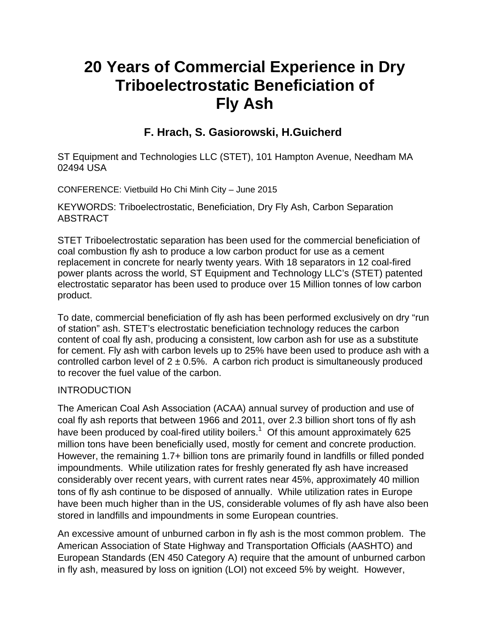# **20 Years of Commercial Experience in Dry Triboelectrostatic Beneficiation of Fly Ash**

## **F. Hrach, S. Gasiorowski, H.Guicherd**

ST Equipment and Technologies LLC (STET), 101 Hampton Avenue, Needham MA 02494 USA

CONFERENCE: Vietbuild Ho Chi Minh City – June 2015

KEYWORDS: Triboelectrostatic, Beneficiation, Dry Fly Ash, Carbon Separation ABSTRACT

STET Triboelectrostatic separation has been used for the commercial beneficiation of coal combustion fly ash to produce a low carbon product for use as a cement replacement in concrete for nearly twenty years. With 18 separators in 12 coal-fired power plants across the world, ST Equipment and Technology LLC's (STET) patented electrostatic separator has been used to produce over 15 Million tonnes of low carbon product.

To date, commercial beneficiation of fly ash has been performed exclusively on dry "run of station" ash. STET's electrostatic beneficiation technology reduces the carbon content of coal fly ash, producing a consistent, low carbon ash for use as a substitute for cement. Fly ash with carbon levels up to 25% have been used to produce ash with a controlled carbon level of  $2 \pm 0.5$ %. A carbon rich product is simultaneously produced to recover the fuel value of the carbon.

#### INTRODUCTION

The American Coal Ash Association (ACAA) annual survey of production and use of coal fly ash reports that between 1966 and 2011, over 2.3 billion short tons of fly ash have been produced by coal-fired utility boilers.<sup>1</sup> Of this amount approximately 625 million tons have been beneficially used, mostly for cement and concrete production. However, the remaining 1.7+ billion tons are primarily found in landfills or filled ponded impoundments. While utilization rates for freshly generated fly ash have increased considerably over recent years, with current rates near 45%, approximately 40 million tons of fly ash continue to be disposed of annually. While utilization rates in Europe have been much higher than in the US, considerable volumes of fly ash have also been stored in landfills and impoundments in some European countries.

An excessive amount of unburned carbon in fly ash is the most common problem. The American Association of State Highway and Transportation Officials (AASHTO) and European Standards (EN 450 Category A) require that the amount of unburned carbon in fly ash, measured by loss on ignition (LOI) not exceed 5% by weight. However,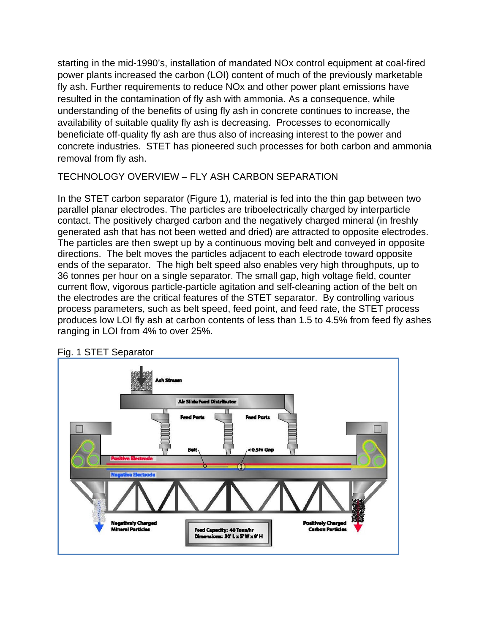starting in the mid-1990's, installation of mandated NOx control equipment at coal-fired power plants increased the carbon (LOI) content of much of the previously marketable fly ash. Further requirements to reduce NOx and other power plant emissions have resulted in the contamination of fly ash with ammonia. As a consequence, while understanding of the benefits of using fly ash in concrete continues to increase, the availability of suitable quality fly ash is decreasing. Processes to economically beneficiate off-quality fly ash are thus also of increasing interest to the power and concrete industries. STET has pioneered such processes for both carbon and ammonia removal from fly ash.

TECHNOLOGY OVERVIEW – FLY ASH CARBON SEPARATION

In the STET carbon separator (Figure 1), material is fed into the thin gap between two parallel planar electrodes. The particles are triboelectrically charged by interparticle contact. The positively charged carbon and the negatively charged mineral (in freshly generated ash that has not been wetted and dried) are attracted to opposite electrodes. The particles are then swept up by a continuous moving belt and conveyed in opposite directions. The belt moves the particles adjacent to each electrode toward opposite ends of the separator. The high belt speed also enables very high throughputs, up to 36 tonnes per hour on a single separator. The small gap, high voltage field, counter current flow, vigorous particle-particle agitation and self-cleaning action of the belt on the electrodes are the critical features of the STET separator. By controlling various process parameters, such as belt speed, feed point, and feed rate, the STET process produces low LOI fly ash at carbon contents of less than 1.5 to 4.5% from feed fly ashes ranging in LOI from 4% to over 25%.



#### Fig. 1 STET Separator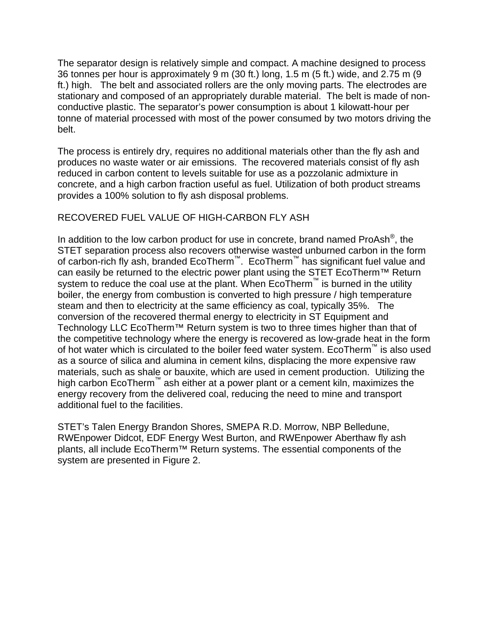The separator design is relatively simple and compact. A machine designed to process 36 tonnes per hour is approximately 9 m (30 ft.) long, 1.5 m (5 ft.) wide, and 2.75 m (9 ft.) high. The belt and associated rollers are the only moving parts. The electrodes are stationary and composed of an appropriately durable material. The belt is made of nonconductive plastic. The separator's power consumption is about 1 kilowatt-hour per tonne of material processed with most of the power consumed by two motors driving the belt.

The process is entirely dry, requires no additional materials other than the fly ash and produces no waste water or air emissions. The recovered materials consist of fly ash reduced in carbon content to levels suitable for use as a pozzolanic admixture in concrete, and a high carbon fraction useful as fuel. Utilization of both product streams provides a 100% solution to fly ash disposal problems.

#### RECOVERED FUEL VALUE OF HIGH-CARBON FLY ASH

In addition to the low carbon product for use in concrete, brand named ProAsh®, the STET separation process also recovers otherwise wasted unburned carbon in the form of carbon-rich fly ash, branded EcoTherm™. EcoTherm™ has significant fuel value and can easily be returned to the electric power plant using the STET EcoTherm™ Return system to reduce the coal use at the plant. When  $EcoTherm^{\mathbb{M}}$  is burned in the utility boiler, the energy from combustion is converted to high pressure / high temperature steam and then to electricity at the same efficiency as coal, typically 35%. The conversion of the recovered thermal energy to electricity in ST Equipment and Technology LLC EcoTherm<sup>™</sup> Return system is two to three times higher than that of the competitive technology where the energy is recovered as low-grade heat in the form of hot water which is circulated to the boiler feed water system. EcoTherm™ is also used as a source of silica and alumina in cement kilns, displacing the more expensive raw materials, such as shale or bauxite, which are used in cement production. Utilizing the high carbon EcoTherm<sup>™</sup> ash either at a power plant or a cement kiln, maximizes the energy recovery from the delivered coal, reducing the need to mine and transport additional fuel to the facilities.

STET's Talen Energy Brandon Shores, SMEPA R.D. Morrow, NBP Belledune, RWEnpower Didcot, EDF Energy West Burton, and RWEnpower Aberthaw fly ash plants, all include EcoTherm<sup>™</sup> Return systems. The essential components of the system are presented in Figure 2.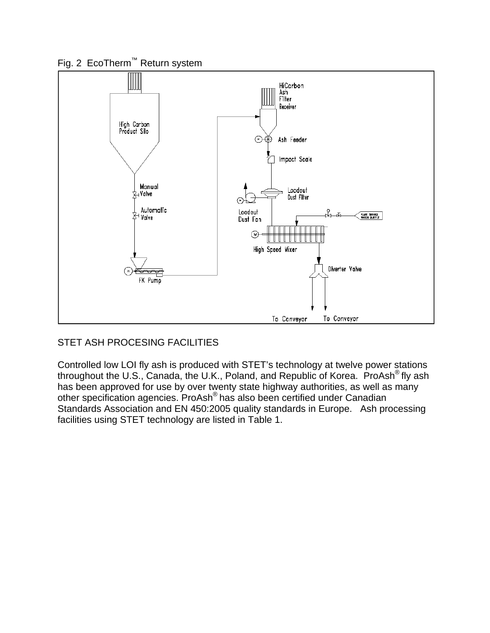Fig. 2 EcoTherm™ Return system



### STET ASH PROCESING FACILITIES

Controlled low LOI fly ash is produced with STET's technology at twelve power stations throughout the U.S., Canada, the U.K., Poland, and Republic of Korea. ProAsh<sup>®</sup> fly ash has been approved for use by over twenty state highway authorities, as well as many other specification agencies. ProAsh® has also been certified under Canadian Standards Association and EN 450:2005 quality standards in Europe. Ash processing facilities using STET technology are listed in Table 1.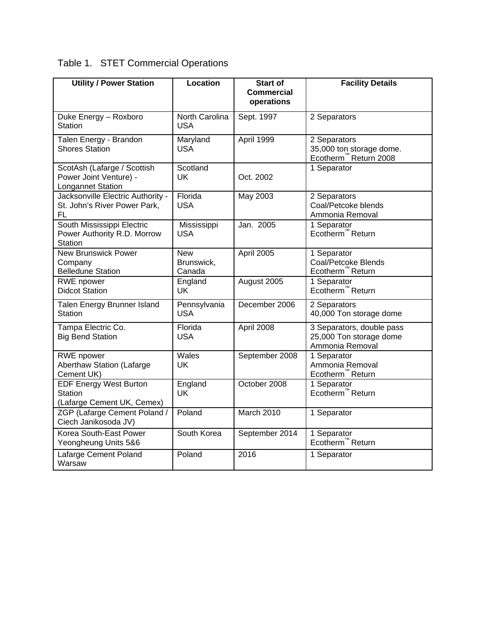| <b>Utility / Power Station</b>                                                    | Location                     | <b>Start of</b><br><b>Commercial</b> | <b>Facility Details</b>                                                 |
|-----------------------------------------------------------------------------------|------------------------------|--------------------------------------|-------------------------------------------------------------------------|
|                                                                                   |                              | operations                           |                                                                         |
| Duke Energy - Roxboro<br>Station                                                  | North Carolina<br><b>USA</b> | Sept. 1997                           | 2 Separators                                                            |
| Talen Energy - Brandon<br><b>Shores Station</b>                                   | Maryland<br><b>USA</b>       | April 1999                           | 2 Separators<br>35,000 ton storage dome.<br>Ecotherm™ Return 2008       |
| ScotAsh (Lafarge / Scottish<br>Power Joint Venture) -<br><b>Longannet Station</b> | Scotland<br>UK               | Oct. 2002                            | 1 Separator                                                             |
| Jacksonville Electric Authority -<br>St. John's River Power Park,<br>FL           | Florida<br><b>USA</b>        | <b>May 2003</b>                      | 2 Separators<br>Coal/Petcoke blends<br>Ammonia Removal                  |
| South Mississippi Electric<br>Power Authority R.D. Morrow<br><b>Station</b>       | Mississippi<br><b>USA</b>    | Jan. 2005                            | 1 Separator<br>Ecotherm™ Return                                         |
| <b>New Brunswick Power</b><br>Company<br><b>Belledune Station</b>                 | New<br>Brunswick,<br>Canada  | April 2005                           | 1 Separator<br>Coal/Petcoke Blends<br>Ecotherm™ Return                  |
| <b>RWE</b> npower<br><b>Didcot Station</b>                                        | England<br><b>UK</b>         | August 2005                          | 1 Separator<br>Ecotherm™ Return                                         |
| Talen Energy Brunner Island<br>Station                                            | Pennsylvania<br><b>USA</b>   | December 2006                        | 2 Separators<br>40,000 Ton storage dome                                 |
| Tampa Electric Co.<br><b>Big Bend Station</b>                                     | Florida<br><b>USA</b>        | April 2008                           | 3 Separators, double pass<br>25,000 Ton storage dome<br>Ammonia Removal |
| RWE npower<br><b>Aberthaw Station (Lafarge</b><br>Cement UK)                      | Wales<br>UK                  | September 2008                       | 1 Separator<br>Ammonia Removal<br>Ecotherm™ Return                      |
| <b>EDF Energy West Burton</b><br><b>Station</b><br>(Lafarge Cement UK, Cemex)     | England<br><b>UK</b>         | October 2008                         | 1 Separator<br>Ecotherm™ Return                                         |
| ZGP (Lafarge Cement Poland /<br>Ciech Janikosoda JV)                              | Poland                       | March 2010                           | 1 Separator                                                             |
| Korea South-East Power<br>Yeongheung Units 5&6                                    | South Korea                  | September 2014                       | 1 Separator<br>Ecotherm™ Return                                         |
| Lafarge Cement Poland<br>Warsaw                                                   | Poland                       | 2016                                 | 1 Separator                                                             |

Table 1. STET Commercial Operations